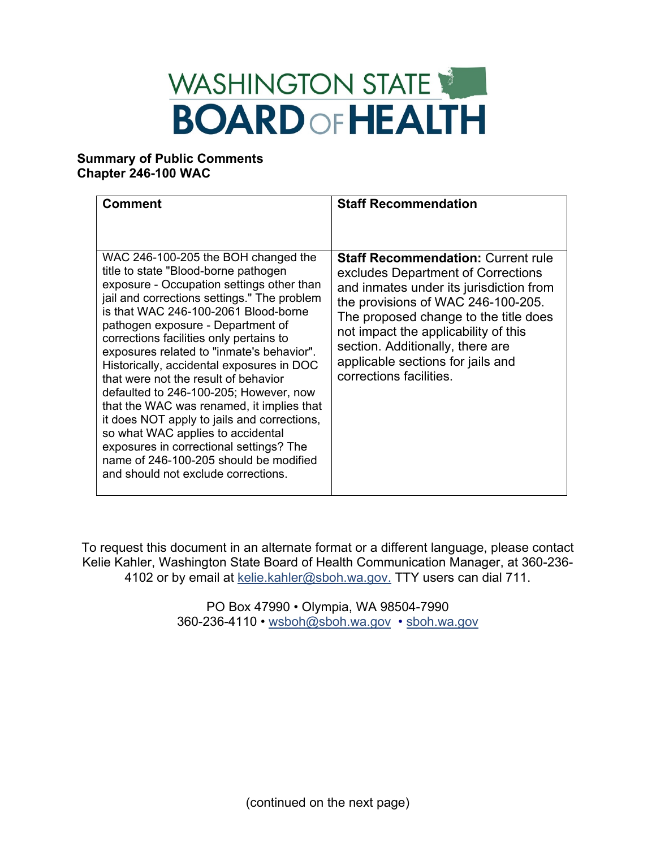## WASHINGTON STATE **BOARD OF HEALTH**

## **Summary of Public Comments Chapter 246-100 WAC**

To request this document in an alternate format or a different language, please contact Kelie Kahler, Washington State Board of Health Communication Manager, at 360-236- 4102 or by email at [kelie.kahler@sboh.wa.gov.](mailto:kelie.Kahler@sboh.wa.gov) TTY users can dial 711.

> PO Box 47990 • Olympia, WA 98504-7990 360-236-4110 • [wsboh@sboh.wa.gov](mailto:wsboh@sboh.wa.gov) • [sboh.wa.gov](http://www.sboh.wa.gov/)